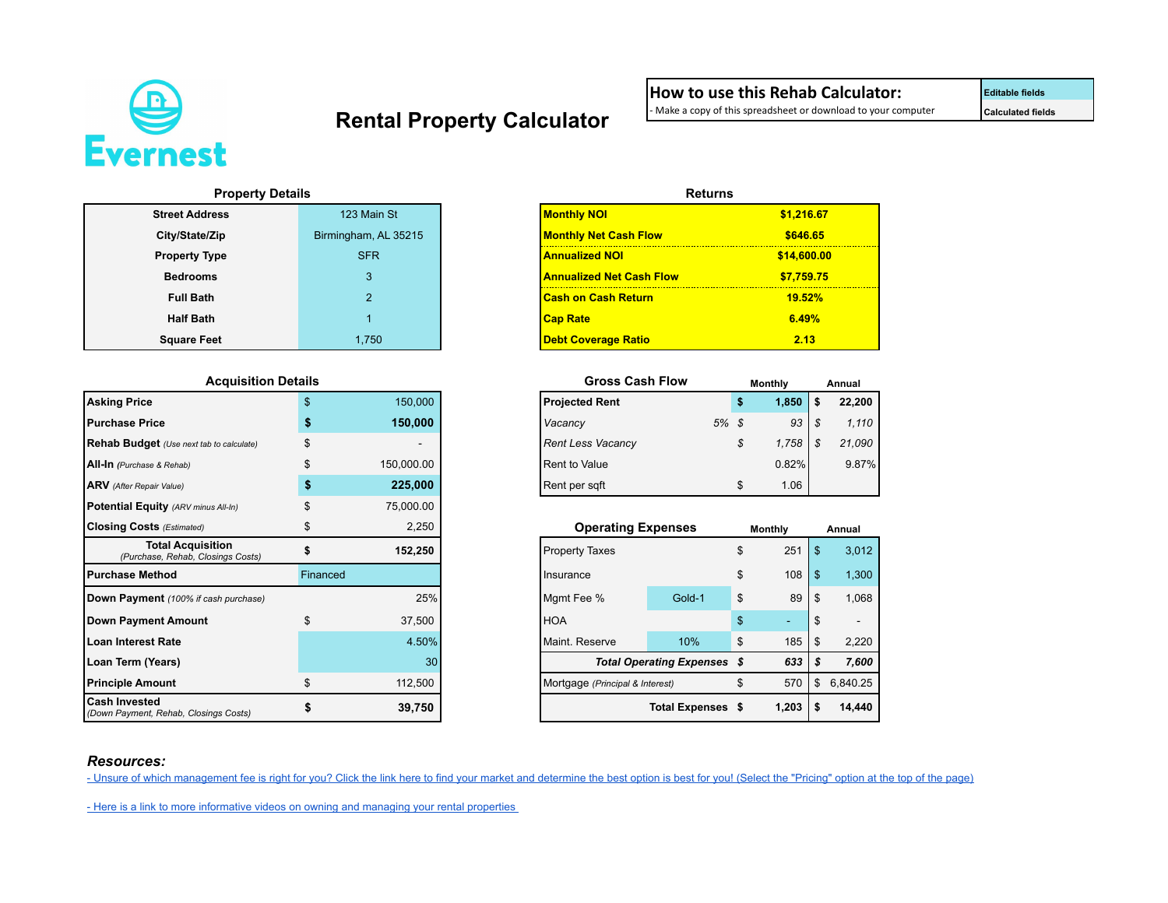

## Rental Property Calculator **- Make a copy of this spreadsheet or download to your computer Calculated fields**

**How to use this Rehab Calculator:**<br>- Make a copy of this spreadsheet or download to your computer

### **Property Details**

| <b>Street Address</b> | 123 Main St          | <b>Monthly NOI</b>              | \$1,216.6 |
|-----------------------|----------------------|---------------------------------|-----------|
| City/State/Zip        | Birmingham, AL 35215 | <b>Monthly Net Cash Flow</b>    | \$646.6   |
| <b>Property Type</b>  | <b>SFR</b>           | <b>Annualized NOI</b>           | \$14,600. |
| <b>Bedrooms</b>       |                      | <b>Annualized Net Cash Flow</b> | \$7.759.7 |
| <b>Full Bath</b>      |                      | <b>Cash on Cash Return</b>      | 19.52%    |
| <b>Half Bath</b>      |                      | <b>Cap Rate</b>                 | 6.49%     |
| <b>Square Feet</b>    | 1.750                | <b>Debt Coverage Ratio</b>      | 2.13      |

#### $Ac$ quisition Details

| <b>Asking Price</b>                                           | $\mathbf{s}$ | 150,000    |
|---------------------------------------------------------------|--------------|------------|
| <b>Purchase Price</b>                                         | \$           | 150,000    |
| Rehab Budget (Use next tab to calculate)                      | \$           |            |
| All-In (Purchase & Rehab)                                     |              | 150,000.00 |
| <b>ARV</b> (After Repair Value)                               | \$           | 225,000    |
| Potential Equity (ARV minus All-In)                           |              | 75,000.00  |
| <b>Closing Costs</b> (Estimated)                              | S            | 2,250      |
| <b>Total Acquisition</b><br>(Purchase, Rehab, Closings Costs) |              | 152,250    |
| l Purchase Method                                             | Financed     |            |
| Down Payment (100% if cash purchase)                          |              | 25%        |
| Down Payment Amount                                           | \$           | 37,500     |
| Loan Interest Rate                                            |              | 4.50%      |
| Loan Term (Years)                                             |              | 30         |
| <b>Principle Amount</b>                                       | \$           | 112,500    |
| <b>Cash Invested</b><br>(Down Payment, Rehab, Closings Costs) |              | 39,750     |

| <b>Property Details</b> |                      | <b>Returns</b>                  |             |
|-------------------------|----------------------|---------------------------------|-------------|
| <b>Street Address</b>   | 123 Main St          | <b>Monthly NOI</b>              | \$1,216.67  |
| City/State/Zip          | Birmingham, AL 35215 | <b>Monthly Net Cash Flow</b>    | \$646.65    |
| <b>Property Type</b>    | <b>SFR</b>           | <b>Annualized NOI</b>           | \$14,600.00 |
| <b>Bedrooms</b>         | 3                    | <b>Annualized Net Cash Flow</b> | \$7.759.75  |
| <b>Full Bath</b>        | $\mathcal{P}$        | <b>Cash on Cash Return</b>      | 19.52%      |
| <b>Half Bath</b>        |                      | <b>Cap Rate</b>                 | 6.49%       |
| <b>Square Feet</b>      | 1.750                | <b>Debt Coverage Ratio</b>      | 2.13        |

| <b>Gross Cash Flow</b>   |    |      | Monthly |   | Annual |
|--------------------------|----|------|---------|---|--------|
| <b>Projected Rent</b>    |    | 5    | 1,850   | S | 22,200 |
| Vacancy                  | 5% | - \$ | 93      | S | 1.110  |
| <b>Rent Less Vacancy</b> |    | \$   | 1,758   | S | 21,090 |
| <b>Rent to Value</b>     |    |      | 0.82%   |   | 9.87%  |
| Rent per sqft            |    | S    | 1.06    |   |        |

| <b>q Costs</b> (Estimated)                                    |          | 2.250   |
|---------------------------------------------------------------|----------|---------|
| <b>Total Acquisition</b><br>(Purchase, Rehab, Closings Costs) |          | 152,250 |
| <b>ise Method</b>                                             | Financed |         |
| <b>Payment</b> (100% if cash purchase)                        |          | 25%     |
| <b>Payment Amount</b>                                         |          | 37,500  |
| nterest Rate                                                  |          | 4.50%   |
| erm (Years)                                                   |          | 30      |
| e Amount                                                      |          | 112.500 |
| nvested<br>ayment, Rehab, Closings Costs)                     |          | 39,750  |

### *Resources:*

[- Unsure of which management fee is right for you? Click the link here to find your market and determine the best option is best for you! \(Select the "Pricing" option at the top of the page\)](https://www.evernest.co/pricing_plan/birmingham-pricing-plans/)

- Here is a link to more informative videos on owning and managing your rental properties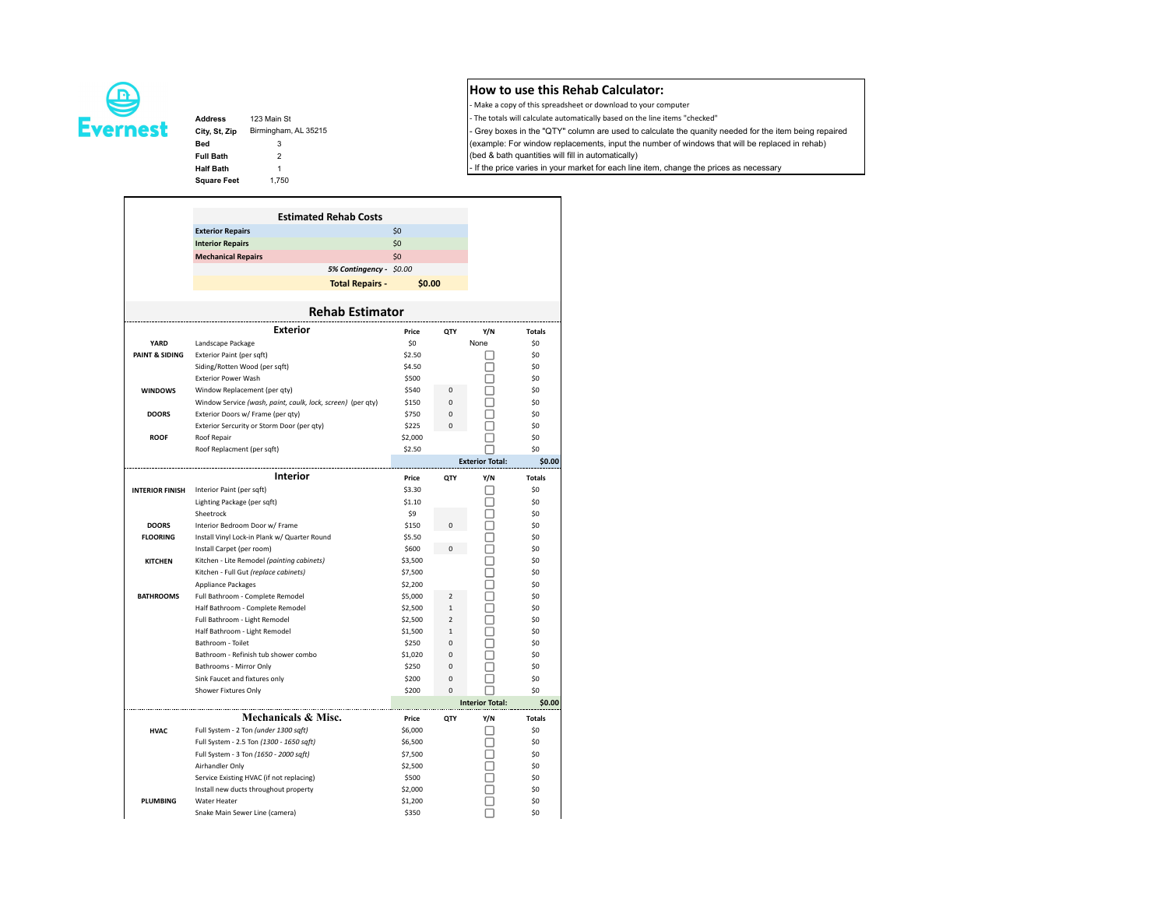

# **Square Feet** 1,750

Address 123 Main St - The totals will calculate automatically based on the line items "checked" City, St, Zip Birmingham, AL 35215 - Grey boxes in the "QTY" column are used to calculate the quanity needed for the item being repaired **Bed** 3 (example: For window replacements, input the number of windows that will be replaced in rehab) **Full Bath** 2 2 **Example 2** (bed & bath quantities will fill in automatically) Half Bath 1 1 - If the price varies in your market for each line item, change the prices as necessary

**How to use this Rehab Calculator:** - Make a copy of this spreadsheet or download to your computer

|                        | <b>Estimated Rehab Costs</b>                                |         |                          |                        |               |
|------------------------|-------------------------------------------------------------|---------|--------------------------|------------------------|---------------|
|                        | <b>Exterior Repairs</b>                                     | \$0     |                          |                        |               |
|                        | <b>Interior Repairs</b>                                     | \$0     |                          |                        |               |
|                        | <b>Mechanical Repairs</b>                                   | \$0     |                          |                        |               |
|                        | 5% Contingency - \$0.00                                     |         |                          |                        |               |
|                        |                                                             | \$0.00  |                          |                        |               |
|                        | <b>Total Repairs -</b>                                      |         |                          |                        |               |
|                        | <b>Rehab Estimator</b>                                      |         |                          |                        |               |
|                        | <b>Exterior</b>                                             | Price   | QTY                      | Y/N                    | <b>Totals</b> |
| YARD                   | Landscape Package                                           | \$0     |                          | None                   | \$0           |
| PAINT & SIDING         | Exterior Paint (per sqft)                                   | \$2.50  |                          |                        | \$0           |
|                        | Siding/Rotten Wood (per sqft)                               | \$4.50  |                          |                        | \$0           |
|                        | <b>Exterior Power Wash</b>                                  | \$500   |                          |                        | \$0           |
| <b>WINDOWS</b>         | Window Replacement (per gty)                                | \$540   | $\mathbf 0$              |                        | \$0           |
|                        | Window Service (wash, paint, caulk, lock, screen) (per qty) | \$150   | $\mathbf 0$              |                        | \$0           |
| <b>DOORS</b>           | Exterior Doors w/ Frame (per qty)                           | \$750   | $\mathbf 0$              |                        | \$0           |
|                        | Exterior Sercurity or Storm Door (per qty)                  | \$225   | 0                        |                        | \$0           |
| <b>ROOF</b>            | Roof Repair                                                 | \$2,000 |                          |                        | \$0           |
|                        | Roof Replacment (per sqft)                                  | \$2.50  |                          |                        | \$0           |
|                        |                                                             |         |                          | <b>Exterior Total:</b> | \$0.00        |
|                        | <b>Interior</b>                                             | Price   | <b>OTY</b>               | Y/N                    | <b>Totals</b> |
| <b>INTERIOR FINISH</b> | Interior Paint (per sqft)                                   | \$3.30  |                          |                        | \$0           |
|                        | Lighting Package (per sqft)                                 | \$1.10  |                          |                        | \$0           |
|                        | Sheetrock                                                   | \$9     |                          |                        | \$0           |
| <b>DOORS</b>           | Interior Bedroom Door w/ Frame                              | \$150   | $\Omega$                 |                        | \$0           |
| <b>FLOORING</b>        | Install Vinyl Lock-in Plank w/ Quarter Round                | \$5.50  |                          |                        | \$0           |
|                        | Install Carpet (per room)                                   | \$600   | $\Omega$                 |                        | \$0           |
| <b>KITCHEN</b>         | Kitchen - Lite Remodel (painting cabinets)                  | \$3,500 |                          |                        | \$0           |
|                        | Kitchen - Full Gut (replace cabinets)                       | \$7,500 |                          |                        | \$0           |
|                        | Appliance Packages                                          | \$2,200 |                          |                        | \$0           |
| <b>BATHROOMS</b>       | Full Bathroom - Complete Remodel                            | \$5,000 | $\overline{\phantom{a}}$ |                        | \$0           |
|                        | Half Bathroom - Complete Remodel                            | \$2,500 | $\mathbf{1}$             |                        | \$0           |
|                        | Full Bathroom - Light Remodel                               | \$2,500 | $\overline{2}$           |                        | \$0           |
|                        | Half Bathroom - Light Remodel                               | \$1,500 | $\mathbf{1}$             |                        | \$0           |
|                        | Bathroom - Toilet                                           | \$250   | $\mathbf 0$              |                        | \$0           |
|                        | Bathroom - Refinish tub shower combo                        | \$1,020 | 0                        |                        | \$0           |
|                        | Bathrooms - Mirror Only                                     | \$250   | $\mathbf 0$              |                        | \$0           |
|                        | Sink Faucet and fixtures only                               | \$200   | $\mathbf 0$              |                        | \$0           |
|                        | Shower Fixtures Only                                        | \$200   | $\Omega$                 |                        | \$0           |
|                        |                                                             |         |                          | <b>Interior Total:</b> | \$0.00        |
|                        | Mechanicals & Misc.                                         | Price   | QTY                      | Y/N                    | <b>Totals</b> |
| <b>HVAC</b>            | Full System - 2 Ton (under 1300 sqft)                       | \$6,000 |                          |                        | \$0           |
|                        | Full System - 2.5 Ton (1300 - 1650 sqft)                    | \$6,500 |                          |                        | \$0           |
|                        | Full System - 3 Ton (1650 - 2000 sqft)                      | \$7,500 |                          |                        | \$0           |
|                        | Airhandler Only                                             | \$2,500 |                          |                        | \$0           |
|                        | Service Existing HVAC (if not replacing)                    | \$500   |                          |                        | \$0           |
|                        | Install new ducts throughout property                       | \$2,000 |                          |                        | \$0           |
|                        |                                                             |         |                          |                        |               |
| PLUMBING               | Water Heater                                                | \$1,200 |                          |                        | \$0           |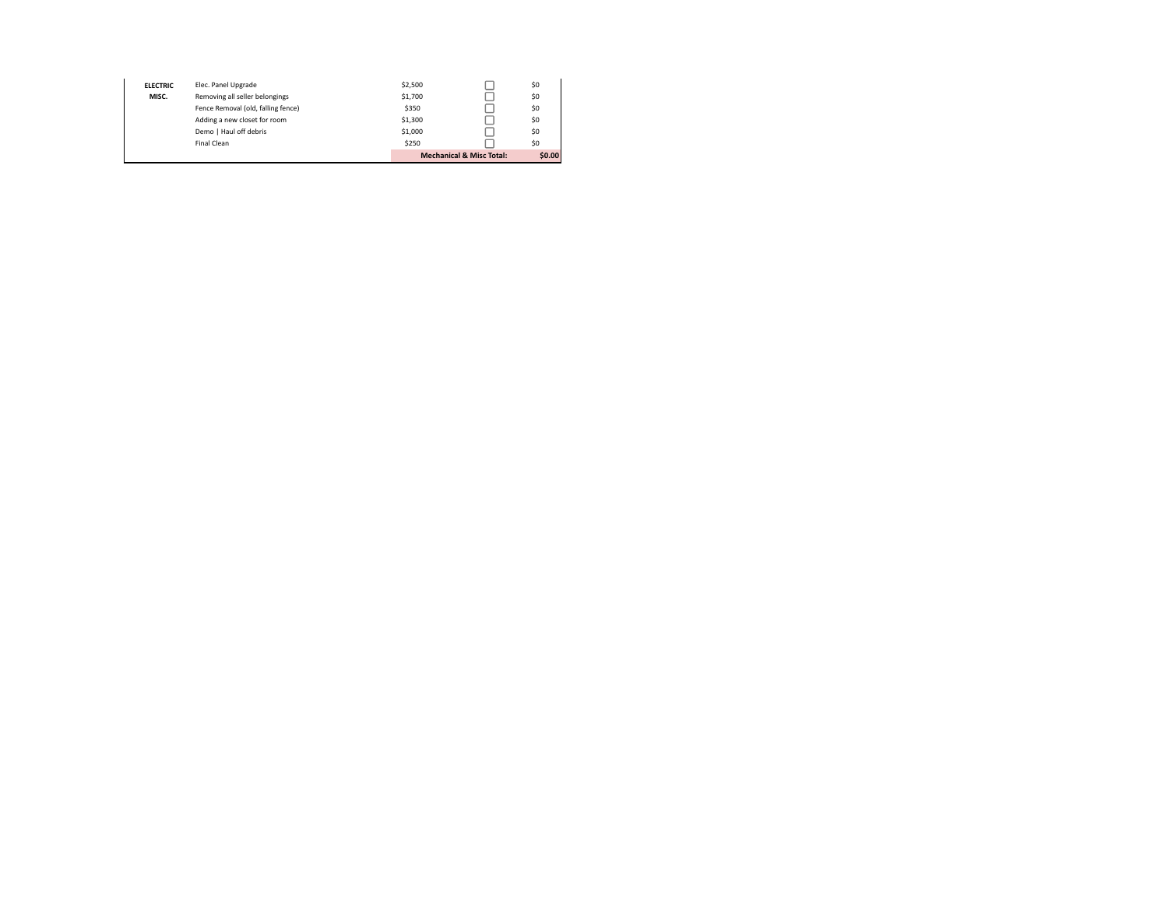|                                                                                                                 | Demo   Haul off debris<br>\$1,000<br>\$0 |                                                |                 |                     |         |                                     |        |
|-----------------------------------------------------------------------------------------------------------------|------------------------------------------|------------------------------------------------|-----------------|---------------------|---------|-------------------------------------|--------|
| \$250<br>\$0<br>Final Clean                                                                                     |                                          | Adding a new closet for room<br>\$1,300<br>\$0 |                 |                     |         | <b>Mechanical &amp; Misc Total:</b> | \$0.00 |
| \$1,700<br>\$0<br>Removing all seller belongings<br>MISC.<br>\$0<br>Fence Removal (old, falling fence)<br>\$350 |                                          |                                                | <b>ELECTRIC</b> | Elec. Panel Upgrade | \$2,500 |                                     | \$0    |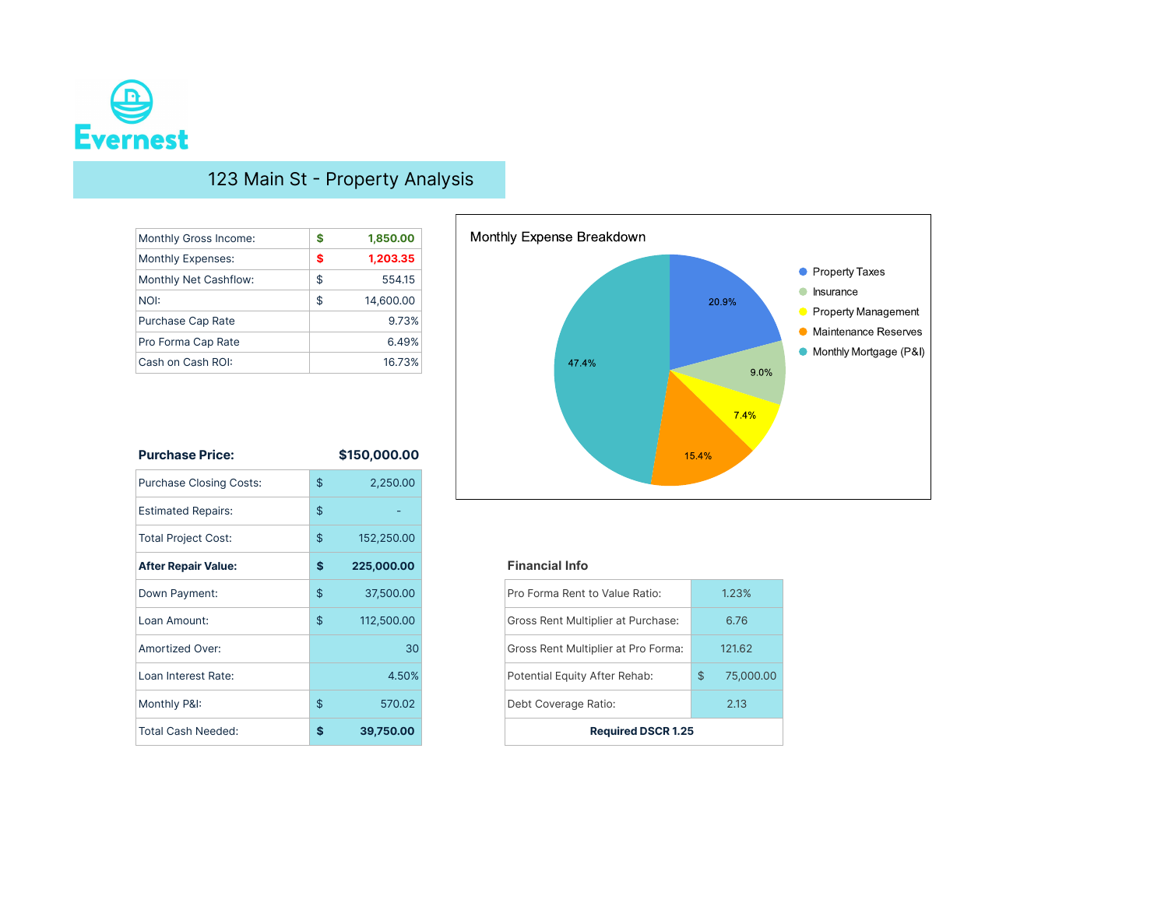

## 123 Main St - Property Analysis

| Monthly Gross Income: | S  | 1,850.00  |
|-----------------------|----|-----------|
| Monthly Expenses:     | S  | 1,203.35  |
| Monthly Net Cashflow: | \$ | 554.15    |
| NOI:                  | \$ | 14,600.00 |
| Purchase Cap Rate     |    | 9.73%     |
| Pro Forma Cap Rate    |    | 6.49%     |
| Cash on Cash ROI:     |    | 16.73%    |

| <b>Purchase Price:</b>         | \$150,000.00     |
|--------------------------------|------------------|
| <b>Purchase Closing Costs:</b> | \$<br>2,250.00   |
| <b>Estimated Repairs:</b>      | \$               |
| <b>Total Project Cost:</b>     | \$<br>152,250.00 |
| <b>After Repair Value:</b>     | \$<br>225,000.00 |
| Down Payment:                  | \$<br>37,500.00  |
| Loan Amount:                   | \$<br>112,500.00 |
| Amortized Over:                | 30 <sup>°</sup>  |
| Loan Interest Rate:            | 4.50%            |
| Monthly P&I:                   | \$<br>570.02     |
| <b>Total Cash Needed:</b>      | \$<br>39,750.00  |



### **After Repair Value: (\$ 225,000.00) Financial Info**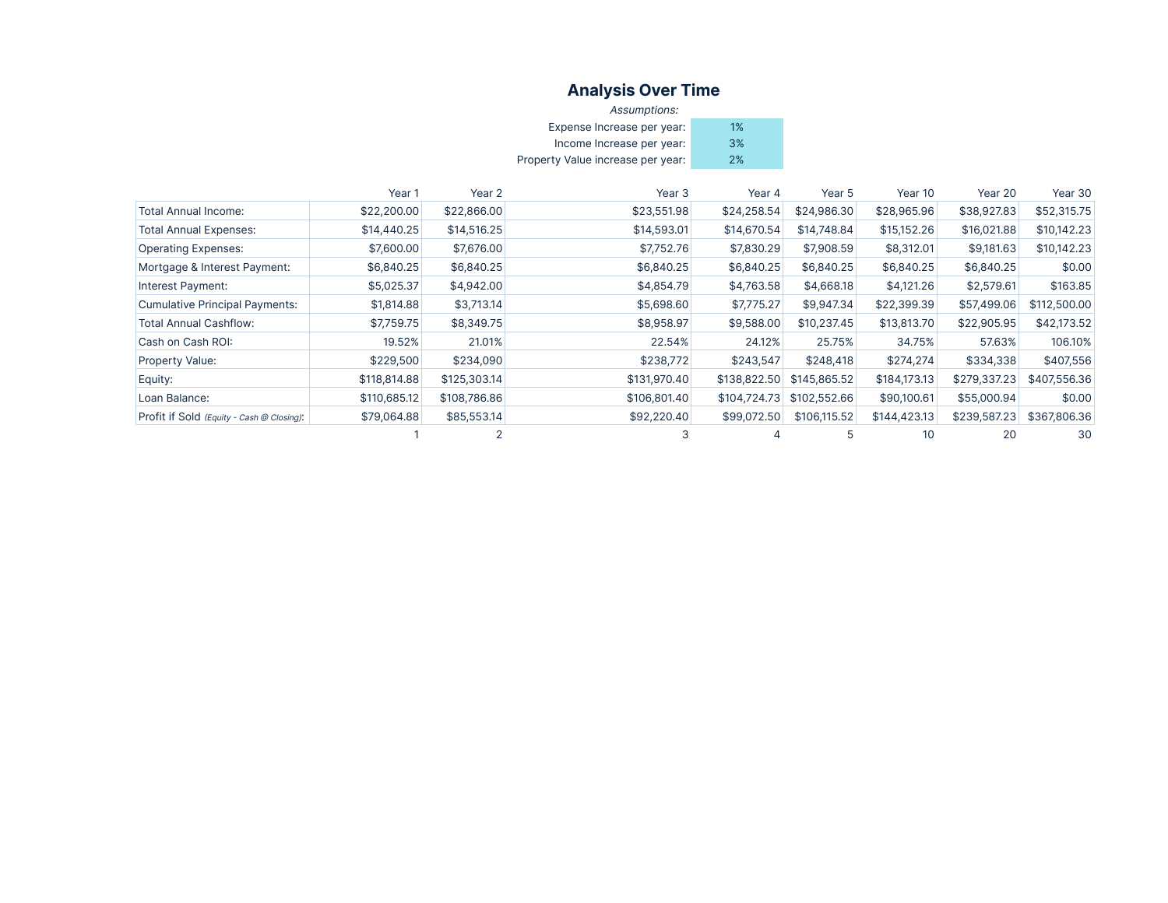### **Analysis Over Time**

| Assumptions:                      |    |
|-----------------------------------|----|
| Expense Increase per year:        | 1% |
| Income Increase per year:         | 3% |
| Property Value increase per year: | 2% |

|                                           | Year 1       | Year 2       | Year <sub>3</sub> | Year 4       | Year 5       | Year 10      | Year 20      | Year 30      |
|-------------------------------------------|--------------|--------------|-------------------|--------------|--------------|--------------|--------------|--------------|
| <b>Total Annual Income:</b>               | \$22,200.00  | \$22,866.00  | \$23,551.98       | \$24,258.54  | \$24,986.30  | \$28,965.96  | \$38,927.83  | \$52,315.75  |
| <b>Total Annual Expenses:</b>             | \$14,440.25  | \$14,516.25  | \$14,593.01       | \$14,670.54  | \$14,748.84  | \$15,152.26  | \$16,021.88  | \$10,142.23  |
| <b>Operating Expenses:</b>                | \$7,600.00   | \$7,676.00   | \$7,752.76        | \$7,830.29   | \$7,908.59   | \$8,312.01   | \$9,181.63   | \$10,142.23  |
| Mortgage & Interest Payment:              | \$6,840.25   | \$6,840.25   | \$6,840.25        | \$6,840.25   | \$6,840.25   | \$6,840.25   | \$6,840.25   | \$0.00       |
| Interest Payment:                         | \$5,025.37   | \$4,942.00   | \$4,854.79        | \$4,763.58   | \$4,668.18   | \$4,121.26   | \$2,579.61   | \$163.85     |
| <b>Cumulative Principal Payments:</b>     | \$1,814.88   | \$3,713.14   | \$5,698.60        | \$7,775.27   | \$9,947.34   | \$22,399.39  | \$57,499.06  | \$112,500.00 |
| <b>Total Annual Cashflow:</b>             | \$7,759.75   | \$8,349.75   | \$8,958.97        | \$9,588.00   | \$10,237.45  | \$13,813.70  | \$22,905.95  | \$42,173.52  |
| Cash on Cash ROI:                         | 19.52%       | 21.01%       | 22.54%            | 24.12%       | 25.75%       | 34.75%       | 57.63%       | 106.10%      |
| <b>Property Value:</b>                    | \$229,500    | \$234,090    | \$238,772         | \$243,547    | \$248,418    | \$274,274    | \$334,338    | \$407,556    |
| Equity:                                   | \$118,814.88 | \$125,303.14 | \$131,970.40      | \$138,822.50 | \$145,865.52 | \$184,173.13 | \$279,337.23 | \$407,556.36 |
| Loan Balance:                             | \$110,685.12 | \$108,786.86 | \$106,801.40      | \$104,724.73 | \$102,552.66 | \$90,100.61  | \$55,000.94  | \$0.00       |
| Profit if Sold (Equity - Cash @ Closing): | \$79,064.88  | \$85,553.14  | \$92,220.40       | \$99,072.50  | \$106,115.52 | \$144,423.13 | \$239,587.23 | \$367,806.36 |
|                                           |              |              |                   |              |              | 10           | 20           | 30           |